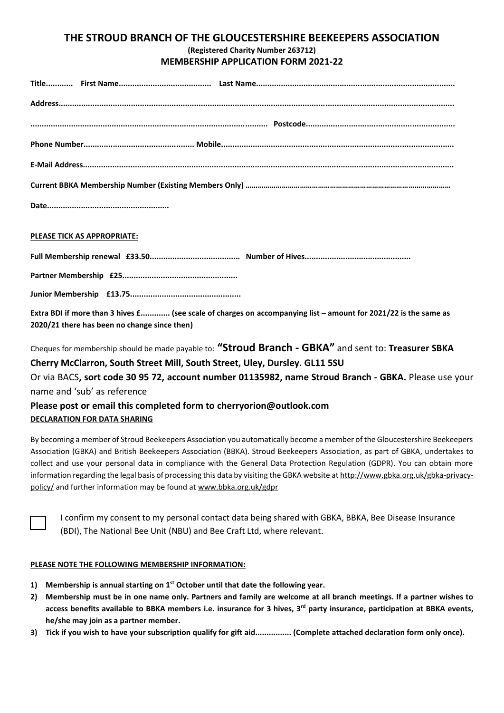## **THE STROUD BRANCH OF THE GLOUCESTERSHIRE BEEKEEPERS ASSOCIATION (Registered Charity Number 263712) MEMBERSHIP APPLICATION FORM 2021-22**

| PLEASE TICK AS APPROPRIATE: |  |  |  |  |
|-----------------------------|--|--|--|--|

**Full Membership renewal £33.50........................................ Number of Hives............................................... Partner Membership £25...................................................**

**Junior Membership £13.75.................................................**

**Extra BDI if more than 3 hives £............. (see scale of charges on accompanying list – amount for 2021/22 is the same as 2020/21 there has been no change since then)**

Cheques for membership should be made payable to: **"Stroud Branch - GBKA"** and sent to: **Treasurer SBKA** 

**Cherry McClarron, South Street Mill, South Street, Uley, Dursley. GL11 5SU** Or via BACS**, sort code 30 95 72, account number 01135982, name Stroud Branch - GBKA.** Please use your name and 'sub' as reference

## **Please post or email this completed form to cherryorion@outlook.com DECLARATION FOR DATA SHARING**

By becoming a member of Stroud Beekeepers Association you automatically become a member of the Gloucestershire Beekeepers Association (GBKA) and British Beekeepers Association (BBKA). Stroud Beekeepers Association, as part of GBKA, undertakes to collect and use your personal data in compliance with the General Data Protection Regulation (GDPR). You can obtain more information regarding the legal basis of processing this data by visiting the GBKA website a[t http://www.gbka.org.uk/gbka-privacy](http://www.gbka.org.uk/gbka-privacy-policy/)[policy/](http://www.gbka.org.uk/gbka-privacy-policy/) and further information may be found at [www.bbka.org.uk/gdpr](http://www.bbka.org.uk/gdpr)

I confirm my consent to my personal contact data being shared with GBKA, BBKA, Bee Disease Insurance (BDI), The National Bee Unit (NBU) and Bee Craft Ltd, where relevant.

### **PLEASE NOTE THE FOLLOWING MEMBERSHIP INFORMATION:**

- **1) Membership is annual starting on 1st October until that date the following year.**
- **2) Membership must be in one name only. Partners and family are welcome at all branch meetings. If a partner wishes to access benefits available to BBKA members i.e. insurance for 3 hives, 3rd party insurance, participation at BBKA events, he/she may join as a partner member.**
- **3) Tick if you wish to have your subscription qualify for gift aid................ (Complete attached declaration form only once).**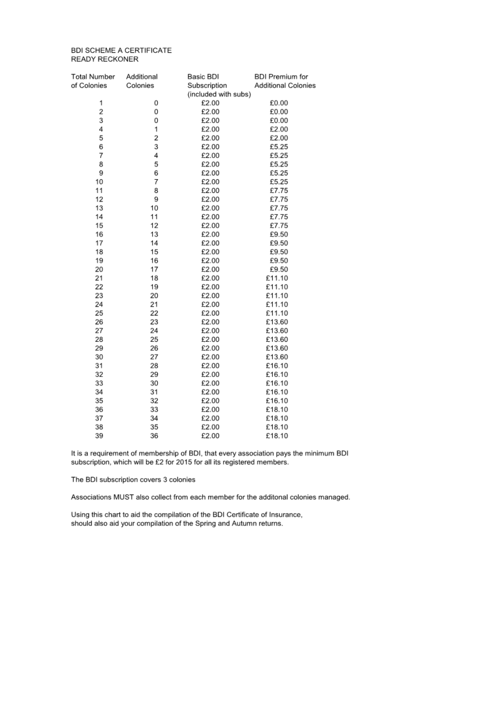#### **BDI SCHEME A CERTIFICATE READY RECKONER**

| <b>Total Number</b>     | Additional | Basic BDI            | <b>BDI Premium for</b>     |  |
|-------------------------|------------|----------------------|----------------------------|--|
| of Colonies             | Colonies   | Subscription         | <b>Additional Colonies</b> |  |
|                         |            | (included with subs) |                            |  |
| 1                       | 0          | £2.00                | £0.00                      |  |
| $\overline{\mathbf{c}}$ | 0          | £2.00                | £0.00                      |  |
| 3                       | 0          | £2.00                | £0.00                      |  |
| 4                       | 1          | £2.00                | £2.00                      |  |
| 5                       | 2          | £2.00                | £2.00                      |  |
| 6                       | 3          | £2.00                | £5.25                      |  |
| $\overline{7}$          | 4          | £2.00                | £5.25                      |  |
| 8                       | 5          | £2.00                | £5.25                      |  |
| 9                       | 6          | £2.00                | £5.25                      |  |
| 10                      | 7          | £2.00                | £5.25                      |  |
| 11                      | 8          | £2.00                | £7.75                      |  |
| 12                      | 9          | £2.00                | £7.75                      |  |
| 13                      | 10         | £2.00                | £7.75                      |  |
| 14                      | 11         | £2.00                | £7.75                      |  |
| 15                      | 12         | £2.00                | £7.75                      |  |
| 16                      | 13         | £2.00                | £9.50                      |  |
| 17                      | 14         | £2.00                | £9.50                      |  |
| 18                      | 15         | £2.00                | £9.50                      |  |
| 19                      | 16         | £2.00                | £9.50                      |  |
| 20                      | 17         | £2.00                | £9.50                      |  |
| 21                      | 18         | £2.00                | £11.10                     |  |
| 22                      | 19         | £2.00                | £11.10                     |  |
| 23                      | 20         | £2.00                | £11.10                     |  |
| 24                      | 21         | £2.00                | £11.10                     |  |
| 25                      | 22         | £2.00                | £11.10                     |  |
| 26                      | 23         | £2.00                | £13.60                     |  |
| 27                      | 24         | £2.00                | £13.60                     |  |
| 28                      | 25         | £2.00                | £13.60                     |  |
| 29                      | 26         | £2.00                | £13.60                     |  |
| 30                      | 27         | £2.00                | £13.60                     |  |
| 31                      | 28         | £2.00                | £16.10                     |  |
| 32                      | 29         | £2.00                | £16.10                     |  |
| 33                      | 30         | £2.00                | £16.10                     |  |
| 34                      | 31         | £2.00                | £16.10                     |  |
| 35                      | 32         | £2.00                | £16.10                     |  |
| 36                      | 33         | £2.00                | £18.10                     |  |
| 37                      | 34         | £2.00                | £18.10                     |  |
| 38                      | 35         | £2.00                | £18.10                     |  |
| 39                      | 36         | £2.00                | £18.10                     |  |

It is a requirement of membership of BDI, that every association pays the minimum BDI subscription, which will be £2 for 2015 for all its registered members.

The BDI subscription covers 3 colonies

Associations MUST also collect from each member for the additonal colonies managed.

Using this chart to aid the compilation of the BDI Certificate of Insurance, should also aid your compilation of the Spring and Autumn returns.